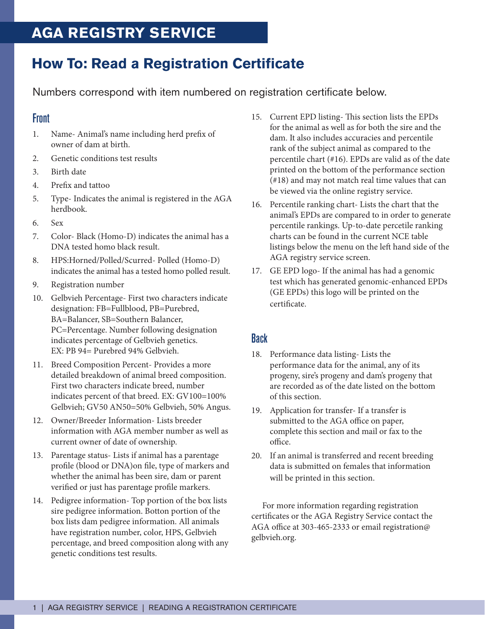## **AGA REGISTRY SERVICE**

# **How To: Read a Registration Certificate**

Numbers correspond with item numbered on registration certificate below.

#### Front

- 1. Name- Animal's name including herd prefix of owner of dam at birth.
- 2. Genetic conditions test results
- 3. Birth date
- 4. Prefix and tattoo
- 5. Type- Indicates the animal is registered in the AGA herdbook.
- 6. Sex
- 7. Color- Black (Homo-D) indicates the animal has a DNA tested homo black result.
- 8. HPS:Horned/Polled/Scurred- Polled (Homo-D) indicates the animal has a tested homo polled result.
- 9. Registration number
- 10. Gelbvieh Percentage- First two characters indicate designation: FB=Fullblood, PB=Purebred, BA=Balancer, SB=Southern Balancer, PC=Percentage. Number following designation indicates percentage of Gelbvieh genetics. EX: PB 94= Purebred 94% Gelbvieh.
- 11. Breed Composition Percent- Provides a more detailed breakdown of animal breed composition. First two characters indicate breed, number indicates percent of that breed. EX: GV100=100% Gelbvieh; GV50 AN50=50% Gelbvieh, 50% Angus.
- 12. Owner/Breeder Information- Lists breeder information with AGA member number as well as current owner of date of ownership.
- 13. Parentage status- Lists if animal has a parentage profile (blood or DNA)on file, type of markers and whether the animal has been sire, dam or parent verified or just has parentage profile markers.
- 14. Pedigree information- Top portion of the box lists sire pedigree information. Botton portion of the box lists dam pedigree information. All animals have registration number, color, HPS, Gelbvieh percentage, and breed composition along with any genetic conditions test results.
- 15. Current EPD listing- This section lists the EPDs for the animal as well as for both the sire and the dam. It also includes accuracies and percentile rank of the subject animal as compared to the percentile chart (#16). EPDs are valid as of the date printed on the bottom of the performance section (#18) and may not match real time values that can be viewed via the online registry service.
- 16. Percentile ranking chart- Lists the chart that the animal's EPDs are compared to in order to generate percentile rankings. Up-to-date percetile ranking charts can be found in the current NCE table listings below the menu on the left hand side of the AGA registry service screen.
- 17. GE EPD logo- If the animal has had a genomic test which has generated genomic-enhanced EPDs (GE EPDs) this logo will be printed on the certificate.

### Back

- 18. Performance data listing- Lists the performance data for the animal, any of its progeny, sire's progeny and dam's progeny that are recorded as of the date listed on the bottom of this section.
- 19. Application for transfer- If a transfer is submitted to the AGA office on paper, complete this section and mail or fax to the office.
- 20. If an animal is transferred and recent breeding data is submitted on females that information will be printed in this section.

For more information regarding registration certificates or the AGA Registry Service contact the AGA office at 303-465-2333 or email registration@ gelbvieh.org.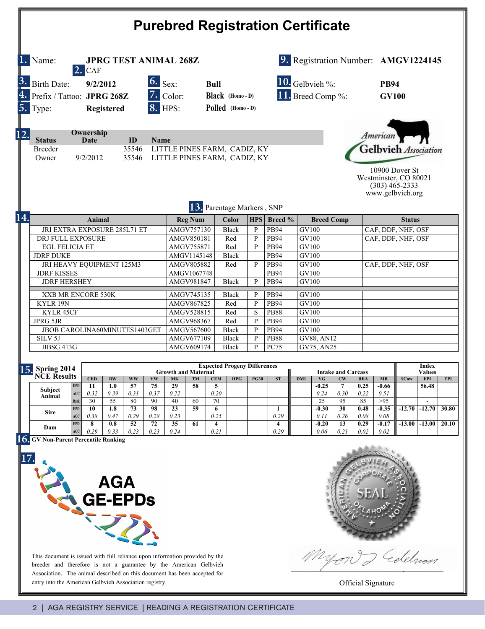| <b>Purebred Registration Certificate</b>        |                                                                                                                                  |                              |            |                                                                   |                |                                                              |                                                                   |                           |              |              |                                      |                         |                    |                    |                                  |                             |             |               |                          |            |
|-------------------------------------------------|----------------------------------------------------------------------------------------------------------------------------------|------------------------------|------------|-------------------------------------------------------------------|----------------|--------------------------------------------------------------|-------------------------------------------------------------------|---------------------------|--------------|--------------|--------------------------------------|-------------------------|--------------------|--------------------|----------------------------------|-----------------------------|-------------|---------------|--------------------------|------------|
| Name:<br><b>JPRG TEST ANIMAL 268Z</b><br>2. CAF |                                                                                                                                  |                              |            |                                                                   |                |                                                              |                                                                   |                           |              |              | 9. Registration Number: AMGV1224145  |                         |                    |                    |                                  |                             |             |               |                          |            |
| 5.                                              | $\overline{\mathbf{6}}$ . Sex.<br>9/2/2012<br>Birth Date:<br>Prefix / Tattoo: JPRG 268Z<br><b>8. HPS:</b><br>Registered<br>Type: |                              |            |                                                                   |                |                                                              | <b>Bull</b><br>$7.$ Color:<br>Black (Homo-D)<br>Polled (Homo - D) |                           |              |              | 10. Gelbvieh %:<br>11. Breed Comp %: |                         |                    |                    |                                  | <b>PB94</b><br><b>GV100</b> |             |               |                          |            |
|                                                 | Ownership<br><b>Status</b><br>Date<br>ID<br>Name<br>35546<br>Breeder<br>35546<br>Owner<br>9/2/2012                               |                              |            |                                                                   |                | LITTLE PINES FARM, CADIZ, KY<br>LITTLE PINES FARM, CADIZ, KY |                                                                   |                           |              |              |                                      |                         |                    |                    | American<br>Gelbvieh Association |                             |             |               |                          |            |
|                                                 | 10900 Dover St<br>Westminster, CO 80021<br>$(303)$ 465-2333<br>www.gelbvieh.org<br>13. Parentage Markers, SNP                    |                              |            |                                                                   |                |                                                              |                                                                   |                           |              |              |                                      |                         |                    |                    |                                  |                             |             |               |                          |            |
| 14.                                             |                                                                                                                                  |                              | Animal     |                                                                   |                |                                                              |                                                                   | <b>Reg Num</b>            |              | Color        | HPS                                  | Breed %                 |                    | <b>Breed Comp</b>  |                                  |                             |             | <b>Status</b> |                          |            |
|                                                 |                                                                                                                                  | JRI EXTRA EXPOSURE 285L71 ET |            |                                                                   | AMGV757130     |                                                              |                                                                   | <b>Black</b>              | $\mathbf{P}$ | <b>PB94</b>  |                                      | GV100                   |                    |                    | CAF, DDF, NHF, OSF               |                             |             |               |                          |            |
|                                                 | DRJ FULL EXPOSURE                                                                                                                |                              |            | AMGV850181                                                        |                |                                                              | Red                                                               | $\mathbf{P}$              | <b>PB94</b>  | GV100        |                                      |                         | CAF, DDF, NHF, OSF |                    |                                  |                             |             |               |                          |            |
|                                                 | <b>EGL FELICIA ET</b>                                                                                                            |                              |            | AMGV755871                                                        |                |                                                              | Red                                                               | P                         | <b>PB94</b>  | GV100        |                                      |                         |                    |                    |                                  |                             |             |               |                          |            |
|                                                 | <b>JDRF DUKE</b>                                                                                                                 |                              |            | AMGV1145148                                                       |                |                                                              | <b>Black</b>                                                      |                           | <b>PB94</b>  |              | GV100                                |                         |                    | CAF, DDF, NHF, OSF |                                  |                             |             |               |                          |            |
|                                                 | JRI HEAVY EQUIPMENT 125M3                                                                                                        |                              |            |                                                                   |                | AMGV805882                                                   |                                                                   |                           | Red          | P            | <b>PB94</b>                          | GV100                   |                    |                    |                                  |                             |             |               |                          |            |
|                                                 | <b>JDRF KISSES</b>                                                                                                               |                              |            |                                                                   |                | AMGV1067748                                                  |                                                                   |                           |              |              | <b>PB94</b>                          | GV100<br>GV100          |                    |                    |                                  |                             |             |               |                          |            |
|                                                 | <b>JDRF HERSHEY</b>                                                                                                              |                              |            |                                                                   |                |                                                              | AMGV981847                                                        |                           |              | <b>Black</b> | P                                    | <b>PB94</b>             |                    |                    |                                  |                             |             |               |                          |            |
|                                                 | XXB MR ENCORE 530K                                                                                                               |                              |            |                                                                   |                |                                                              | AMGV745135<br><b>Black</b>                                        |                           |              |              | P                                    | <b>PB94</b>             | <b>GV100</b>       |                    |                                  |                             |             |               |                          |            |
|                                                 | KYLR 19N                                                                                                                         |                              |            |                                                                   |                |                                                              | AMGV867825                                                        |                           |              | Red          | P                                    | <b>PB94</b>             | GV100              |                    |                                  |                             |             |               |                          |            |
|                                                 | KYLR 45CF                                                                                                                        |                              |            |                                                                   |                |                                                              | AMGV528815                                                        |                           |              | Red          | S                                    | <b>PB88</b>             | GV100              |                    |                                  |                             |             |               |                          |            |
|                                                 | <b>JPRG 5JR</b>                                                                                                                  |                              |            |                                                                   |                |                                                              | AMGV968367                                                        |                           |              | Red          | $\mathbf{P}$                         | <b>PB94</b>             | GV100              |                    |                                  |                             |             |               |                          |            |
|                                                 | JBOB CAROLINA60MINUTES1403GET                                                                                                    |                              |            |                                                                   |                |                                                              | AMGV567600                                                        |                           |              | <b>Black</b> | $\mathbf{P}$                         | <b>PB94</b>             | GV100              |                    |                                  |                             |             |               |                          |            |
|                                                 | SILV <sub>5J</sub>                                                                                                               |                              |            |                                                                   |                |                                                              | AMGV677109                                                        |                           |              | <b>Black</b> | $\mathbf{P}$                         | <b>PB88</b>             | <b>GV88, AN12</b>  |                    |                                  |                             |             |               |                          |            |
|                                                 | <b>BBSG 413G</b>                                                                                                                 |                              |            |                                                                   |                |                                                              | AMGV609174<br><b>Black</b>                                        |                           |              | P            | <b>PC75</b>                          | GV75, AN25              |                    |                    |                                  |                             |             |               |                          |            |
|                                                 | <b>15.</b> Spring 2014                                                                                                           |                              |            | <b>Expected Progeny Differences</b><br><b>Growth and Maternal</b> |                |                                                              |                                                                   | <b>Intake and Carcass</b> |              |              |                                      |                         |                    |                    |                                  | Index<br><b>Values</b>      |             |               |                          |            |
|                                                 | <b>NCE Results</b>                                                                                                               |                              | <b>CED</b> | <b>BW</b>                                                         | <b>WW</b>      | YW                                                           | <b>MK</b>                                                         | TM                        | <b>CEM</b>   | <b>HPG</b>   | <b>PG30</b>                          | ST                      | <b>DMI</b>         | YG                 | CW                               | <b>REA</b>                  | MB          | <b>SCow</b>   | <b>FPI</b>               | <b>EPI</b> |
|                                                 | Subject                                                                                                                          | <b>EPD</b>                   | 11         | 1.0                                                               | 57             | 75                                                           | 29                                                                | 58                        | 5            |              |                                      |                         |                    | $-0.25$            | 7                                | 0.25                        | -0.66       |               | 56.48                    |            |
|                                                 | Animal                                                                                                                           | ACC<br>Rank                  | 0.32<br>30 | 0.39<br>55                                                        | 0.31<br>80     | 0.37<br>90                                                   | 0.22<br>40                                                        | 60                        | 0.20<br>70   |              |                                      |                         |                    | 0.24<br>25         | 0.30<br>95                       | 0.22<br>85                  | 0.51<br>>95 |               | $\overline{\phantom{a}}$ |            |
|                                                 |                                                                                                                                  | <b>EPD</b>                   | 10         | 1.8                                                               | 73             | 98                                                           | 23                                                                | 59                        | 6            |              |                                      | 1                       |                    | $-0.30$            | 30                               | 0.48                        | $-0.35$     | $-12.70$      | $-12.70$                 | 30.80      |
|                                                 | Sire                                                                                                                             | ACC                          | 0.38       | 0.47                                                              | 0.29           | 0.28                                                         | 0.23                                                              |                           | 0.25         |              |                                      | 0.29                    |                    | 0.11               | 0.26                             | 0.08                        | 0.08        |               |                          |            |
|                                                 | Dam                                                                                                                              | <b>EPD</b>                   | 8          | 0.8                                                               | 52             | 72                                                           | 35                                                                | 61                        | 4            |              |                                      | $\overline{\mathbf{4}}$ |                    | $-0.20$            | 13                               | 0.29                        | $-0.17$     | $-13.00$      | $-13.00$                 | 20.10      |
|                                                 | <b>GV Non-Parent Percentile Ranking</b>                                                                                          | ACC                          | 0.29       | 0.33                                                              | 0.23           | 0.23                                                         | 0.24                                                              |                           | 0.21         |              |                                      | 0.29                    |                    | 0.06               | 0.21                             | 0.02                        | 0.02        |               |                          |            |
| 16.                                             | 17.                                                                                                                              |                              |            | <b>AGA</b>                                                        | <b>GE-EPDS</b> |                                                              |                                                                   |                           |              |              |                                      |                         |                    |                    |                                  |                             |             |               |                          |            |

This document is issued with full reliance upon information provided by the breeder and therefore is not a guarantee by the American Gelbvieh Association. The animal described on this document has been accepted for



Myon delelmon

entry into the American Gelbvieh Association registry. **Official Signature Official Signature**